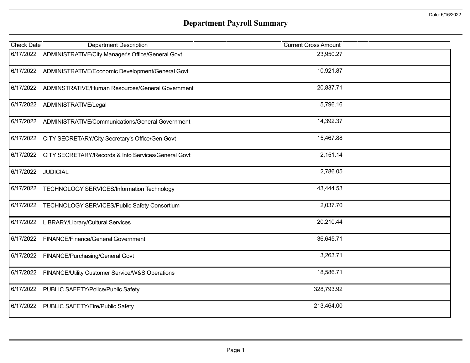## **Department Payroll Summary**

| <b>Check Date</b>  | <b>Department Description</b>                               | <b>Current Gross Amount</b> |  |
|--------------------|-------------------------------------------------------------|-----------------------------|--|
|                    | 6/17/2022 ADMINISTRATIVE/City Manager's Office/General Govt | 23,950.27                   |  |
|                    | 6/17/2022 ADMINISTRATIVE/Economic Development/General Govt  | 10,921.87                   |  |
|                    | 6/17/2022 ADMINSTRATIVE/Human Resources/General Government  | 20,837.71                   |  |
|                    | 6/17/2022 ADMINISTRATIVE/Legal                              | 5,796.16                    |  |
| 6/17/2022          | ADMINISTRATIVE/Communications/General Government            | 14,392.37                   |  |
|                    | 6/17/2022 CITY SECRETARY/City Secretary's Office/Gen Govt   | 15,467.88                   |  |
| 6/17/2022          | CITY SECRETARY/Records & Info Services/General Govt         | 2,151.14                    |  |
| 6/17/2022 JUDICIAL |                                                             | 2,786.05                    |  |
|                    | 6/17/2022 TECHNOLOGY SERVICES/Information Technology        | 43,444.53                   |  |
|                    | 6/17/2022 TECHNOLOGY SERVICES/Public Safety Consortium      | 2,037.70                    |  |
| 6/17/2022          | <b>LIBRARY/Library/Cultural Services</b>                    | 20,210.44                   |  |
| 6/17/2022          | <b>FINANCE/Finance/General Government</b>                   | 36,645.71                   |  |
| 6/17/2022          | FINANCE/Purchasing/General Govt                             | 3,263.71                    |  |
| 6/17/2022          | FINANCE/Utility Customer Service/W&S Operations             | 18,586.71                   |  |
| 6/17/2022          | PUBLIC SAFETY/Police/Public Safety                          | 328,793.92                  |  |
| 6/17/2022          | PUBLIC SAFETY/Fire/Public Safety                            | 213,464.00                  |  |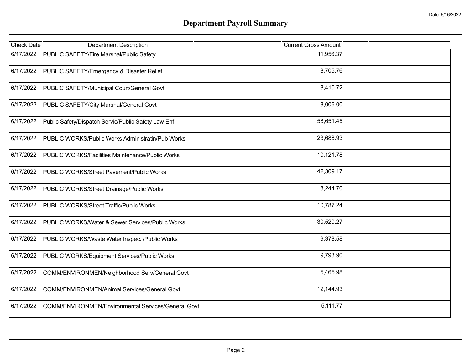## **Department Payroll Summary**

| <b>Check Date</b> | <b>Department Description</b>                              | <b>Current Gross Amount</b> |  |
|-------------------|------------------------------------------------------------|-----------------------------|--|
| 6/17/2022         | PUBLIC SAFETY/Fire Marshal/Public Safety                   | 11,956.37                   |  |
| 6/17/2022         | PUBLIC SAFETY/Emergency & Disaster Relief                  | 8,705.76                    |  |
| 6/17/2022         | PUBLIC SAFETY/Municipal Court/General Govt                 | 8,410.72                    |  |
| 6/17/2022         | PUBLIC SAFETY/City Marshal/General Govt                    | 8,006.00                    |  |
| 6/17/2022         | Public Safety/Dispatch Servic/Public Safety Law Enf        | 58,651.45                   |  |
| 6/17/2022         | PUBLIC WORKS/Public Works Administratin/Pub Works          | 23,688.93                   |  |
| 6/17/2022         | PUBLIC WORKS/Facilities Maintenance/Public Works           | 10,121.78                   |  |
| 6/17/2022         | PUBLIC WORKS/Street Pavement/Public Works                  | 42,309.17                   |  |
| 6/17/2022         | PUBLIC WORKS/Street Drainage/Public Works                  | 8,244.70                    |  |
| 6/17/2022         | PUBLIC WORKS/Street Traffic/Public Works                   | 10,787.24                   |  |
| 6/17/2022         | PUBLIC WORKS/Water & Sewer Services/Public Works           | 30,520.27                   |  |
| 6/17/2022         | PUBLIC WORKS/Waste Water Inspec. /Public Works             | 9,378.58                    |  |
| 6/17/2022         | PUBLIC WORKS/Equipment Services/Public Works               | 9,793.90                    |  |
| 6/17/2022         | COMM/ENVIRONMEN/Neighborhood Serv/General Govt             | 5,465.98                    |  |
| 6/17/2022         | COMM/ENVIRONMEN/Animal Services/General Govt               | 12,144.93                   |  |
| 6/17/2022         | <b>COMM/ENVIRONMEN/Environmental Services/General Govt</b> | 5,111.77                    |  |